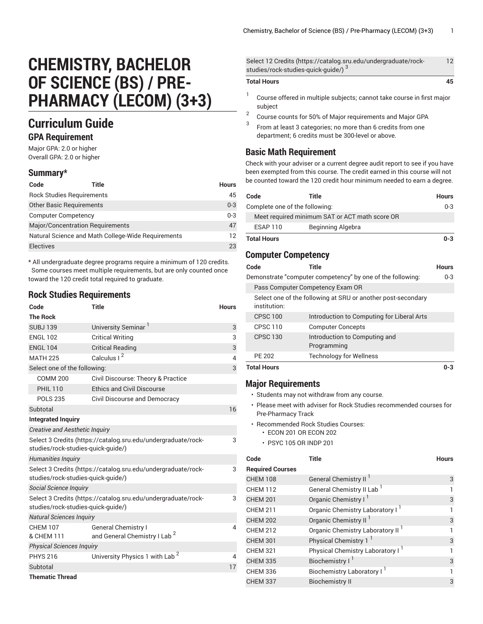# **CHEMISTRY, BACHELOR OF SCIENCE (BS) / PRE-PHARMACY (LECOM) (3+3)**

# **Curriculum Guide**

#### **GPA Requirement**

Major GPA: 2.0 or higher Overall GPA: 2.0 or higher

#### **Summary\***

| Code                                    | Title                                              | Hours   |
|-----------------------------------------|----------------------------------------------------|---------|
| <b>Rock Studies Requirements</b>        |                                                    | 45      |
| <b>Other Basic Requirements</b>         |                                                    | $0 - 3$ |
| <b>Computer Competency</b>              |                                                    | $0 - 3$ |
| <b>Major/Concentration Requirements</b> |                                                    | 47      |
|                                         | Natural Science and Math College-Wide Requirements | 12      |
| <b>Electives</b>                        |                                                    | 23      |

\* All undergraduate degree programs require a minimum of 120 credits. Some courses meet multiple requirements, but are only counted once toward the 120 credit total required to graduate.

#### **Rock Studies Requirements**

| Code                                  | <b>Title</b>                                                    | <b>Hours</b> |
|---------------------------------------|-----------------------------------------------------------------|--------------|
| <b>The Rock</b>                       |                                                                 |              |
| <b>SUBJ139</b>                        | University Seminar <sup>1</sup>                                 | 3            |
| <b>ENGL 102</b>                       | <b>Critical Writing</b>                                         | 3            |
| <b>ENGL 104</b>                       | <b>Critical Reading</b>                                         | 3            |
| <b>MATH 225</b>                       | Calculus I <sup>2</sup>                                         | 4            |
| Select one of the following:          |                                                                 | 3            |
| <b>COMM 200</b>                       | Civil Discourse: Theory & Practice                              |              |
| <b>PHIL 110</b>                       | <b>Ethics and Civil Discourse</b>                               |              |
| <b>POLS 235</b>                       | <b>Civil Discourse and Democracy</b>                            |              |
| Subtotal                              |                                                                 | 16           |
| <b>Integrated Inquiry</b>             |                                                                 |              |
| <b>Creative and Aesthetic Inquiry</b> |                                                                 |              |
| studies/rock-studies-quick-quide/)    | Select 3 Credits (https://catalog.sru.edu/undergraduate/rock-   | 3            |
| <b>Humanities Inquiry</b>             |                                                                 |              |
| studies/rock-studies-quick-quide/)    | Select 3 Credits (https://catalog.sru.edu/undergraduate/rock-   | 3            |
| Social Science Inquiry                |                                                                 |              |
| studies/rock-studies-quick-quide/)    | Select 3 Credits (https://catalog.sru.edu/undergraduate/rock-   | 3            |
| <b>Natural Sciences Inquiry</b>       |                                                                 |              |
| <b>CHEM 107</b><br>& CHEM 111         | General Chemistry I<br>and General Chemistry I Lab <sup>2</sup> | 4            |
| <b>Physical Sciences Inquiry</b>      |                                                                 |              |
| <b>PHYS 216</b>                       | 2<br>University Physics 1 with Lab                              | 4            |
| Subtotal                              |                                                                 | 17           |
| <b>Thematic Thread</b>                |                                                                 |              |

| <b>Total Hours</b>                                             | 45 |
|----------------------------------------------------------------|----|
| studies/rock-studies-quick-quide/)°                            |    |
| Select 12 Credits (https://catalog.sru.edu/undergraduate/rock- | 12 |

# Course offered in multiple subjects; cannot take course in first major subject

- 2 Course counts for 50% of Major requirements and Major GPA
- 3 From at least 3 categories; no more than 6 credits from one department; 6 credits must be 300-level or above.

# **Basic Math Requirement**

1

Check with your adviser or a current degree audit report to see if you have been exempted from this course. The credit earned in this course will not be counted toward the 120 credit hour minimum needed to earn a degree.

| Code                           | Title                                          | <b>Hours</b> |
|--------------------------------|------------------------------------------------|--------------|
| Complete one of the following: |                                                | $0 - 3$      |
|                                | Meet required minimum SAT or ACT math score OR |              |
| <b>ESAP 110</b>                | Beginning Algebra                              |              |
| <b>Total Hours</b>             |                                                | $0 - 3$      |

### **Computer Competency**

| Code               | Title                                                        | <b>Hours</b> |
|--------------------|--------------------------------------------------------------|--------------|
|                    | Demonstrate "computer competency" by one of the following:   | $0 - 3$      |
|                    | Pass Computer Competency Exam OR                             |              |
| institution:       | Select one of the following at SRU or another post-secondary |              |
| <b>CPSC 100</b>    | Introduction to Computing for Liberal Arts                   |              |
| <b>CPSC 110</b>    | <b>Computer Concepts</b>                                     |              |
| <b>CPSC 130</b>    | Introduction to Computing and<br>Programming                 |              |
| PE 202             | <b>Technology for Wellness</b>                               |              |
| <b>Total Hours</b> |                                                              |              |

# **Major Requirements**

- Students may not withdraw from any course.
- Please meet with adviser for Rock Studies recommended courses for Pre-Pharmacy Track
- Recommended Rock Studies Courses:
	- ECON 201 OR ECON 202
	- PSYC 105 OR INDP 201

| Code                    | Title                                        | <b>Hours</b> |
|-------------------------|----------------------------------------------|--------------|
| <b>Required Courses</b> |                                              |              |
| <b>CHEM 108</b>         | General Chemistry II <sup>1</sup>            | 3            |
| <b>CHEM 112</b>         | General Chemistry II Lab <sup>1</sup>        |              |
| <b>CHEM 201</b>         | Organic Chemistry I <sup>1</sup>             | 3            |
| <b>CHEM 211</b>         | Organic Chemistry Laboratory I <sup>1</sup>  |              |
| <b>CHEM 202</b>         | Organic Chemistry II <sup>1</sup>            | 3            |
| <b>CHEM 212</b>         | Organic Chemistry Laboratory II <sup>1</sup> |              |
| <b>CHEM 301</b>         | Physical Chemistry 1 <sup>1</sup>            | 3            |
| <b>CHEM 321</b>         | Physical Chemistry Laboratory I <sup>1</sup> |              |
| <b>CHEM 335</b>         | Biochemistry I <sup>1</sup>                  | 3            |
| <b>CHEM 336</b>         | Biochemistry Laboratory I <sup>1</sup>       |              |
| <b>CHEM 337</b>         | <b>Biochemistry II</b>                       | 3            |
|                         |                                              |              |